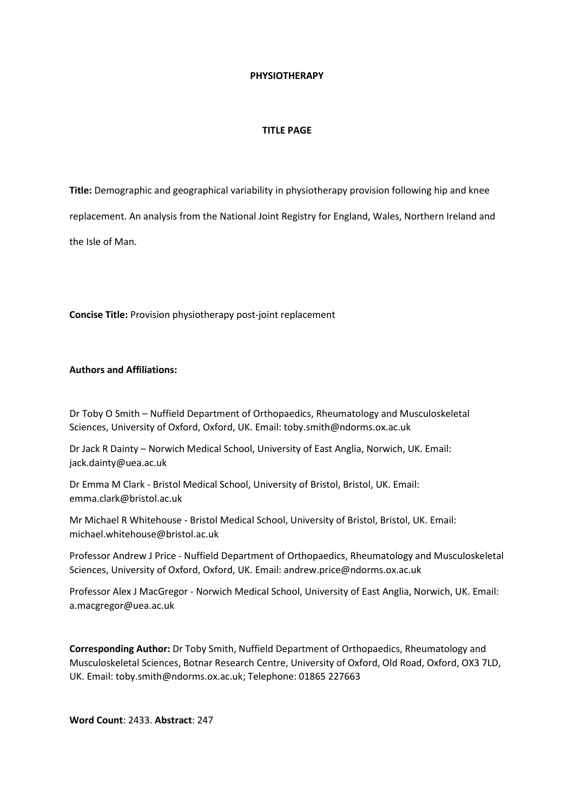### **PHYSIOTHERAPY**

# **TITLE PAGE**

**Title:** Demographic and geographical variability in physiotherapy provision following hip and knee replacement. An analysis from the National Joint Registry for England, Wales, Northern Ireland and the Isle of Man.

**Concise Title:** Provision physiotherapy post-joint replacement

# **Authors and Affiliations:**

Dr Toby O Smith – Nuffield Department of Orthopaedics, Rheumatology and Musculoskeletal Sciences, University of Oxford, Oxford, UK. Email: toby.smith@ndorms.ox.ac.uk

Dr Jack R Dainty – Norwich Medical School, University of East Anglia, Norwich, UK. Email: jack.dainty@uea.ac.uk

Dr Emma M Clark - Bristol Medical School, University of Bristol, Bristol, UK. Email: emma.clark@bristol.ac.uk

Mr Michael R Whitehouse - Bristol Medical School, University of Bristol, Bristol, UK. Email: michael.whitehouse@bristol.ac.uk

Professor Andrew J Price - Nuffield Department of Orthopaedics, Rheumatology and Musculoskeletal Sciences, University of Oxford, Oxford, UK. Email: andrew.price@ndorms.ox.ac.uk

Professor Alex J MacGregor - Norwich Medical School, University of East Anglia, Norwich, UK. Email: a.macgregor@uea.ac.uk

**Corresponding Author:** Dr Toby Smith, Nuffield Department of Orthopaedics, Rheumatology and Musculoskeletal Sciences, Botnar Research Centre, University of Oxford, Old Road, Oxford, OX3 7LD, UK. Email: toby.smith@ndorms.ox.ac.uk; Telephone: 01865 227663

**Word Count**: 2433. **Abstract**: 247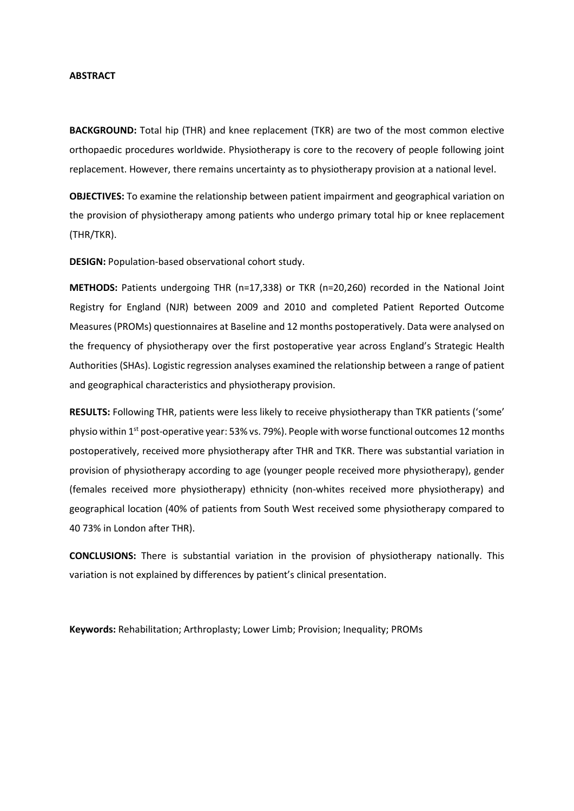#### **ABSTRACT**

**BACKGROUND:** Total hip (THR) and knee replacement (TKR) are two of the most common elective orthopaedic procedures worldwide. Physiotherapy is core to the recovery of people following joint replacement. However, there remains uncertainty as to physiotherapy provision at a national level.

**OBJECTIVES:** To examine the relationship between patient impairment and geographical variation on the provision of physiotherapy among patients who undergo primary total hip or knee replacement (THR/TKR).

**DESIGN:** Population-based observational cohort study.

**METHODS:** Patients undergoing THR (n=17,338) or TKR (n=20,260) recorded in the National Joint Registry for England (NJR) between 2009 and 2010 and completed Patient Reported Outcome Measures (PROMs) questionnaires at Baseline and 12 months postoperatively. Data were analysed on the frequency of physiotherapy over the first postoperative year across England's Strategic Health Authorities (SHAs). Logistic regression analyses examined the relationship between a range of patient and geographical characteristics and physiotherapy provision.

**RESULTS:** Following THR, patients were less likely to receive physiotherapy than TKR patients ('some' physio within  $1<sup>st</sup>$  post-operative year: 53% vs. 79%). People with worse functional outcomes 12 months postoperatively, received more physiotherapy after THR and TKR. There was substantial variation in provision of physiotherapy according to age (younger people received more physiotherapy), gender (females received more physiotherapy) ethnicity (non-whites received more physiotherapy) and geographical location (40% of patients from South West received some physiotherapy compared to 40 73% in London after THR).

**CONCLUSIONS:** There is substantial variation in the provision of physiotherapy nationally. This variation is not explained by differences by patient's clinical presentation.

**Keywords:** Rehabilitation; Arthroplasty; Lower Limb; Provision; Inequality; PROMs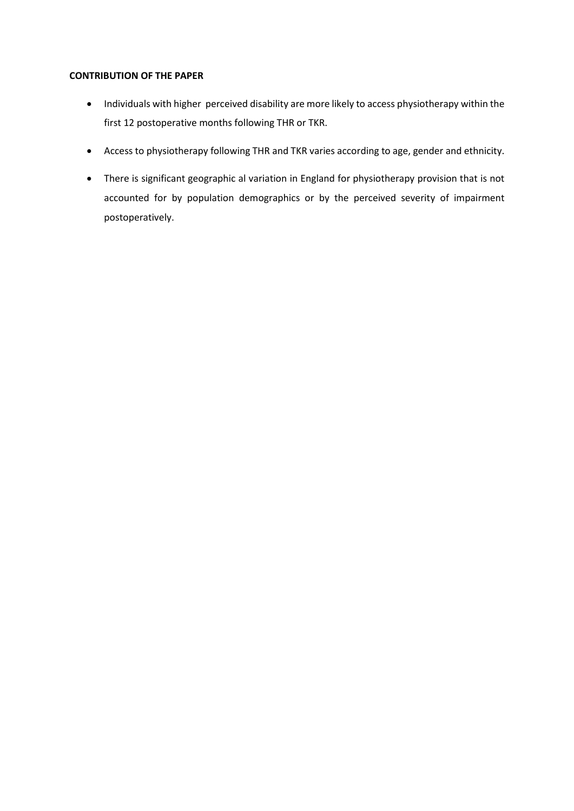## **CONTRIBUTION OF THE PAPER**

- Individuals with higher perceived disability are more likely to access physiotherapy within the first 12 postoperative months following THR or TKR.
- Access to physiotherapy following THR and TKR varies according to age, gender and ethnicity.
- There is significant geographic al variation in England for physiotherapy provision that is not accounted for by population demographics or by the perceived severity of impairment postoperatively.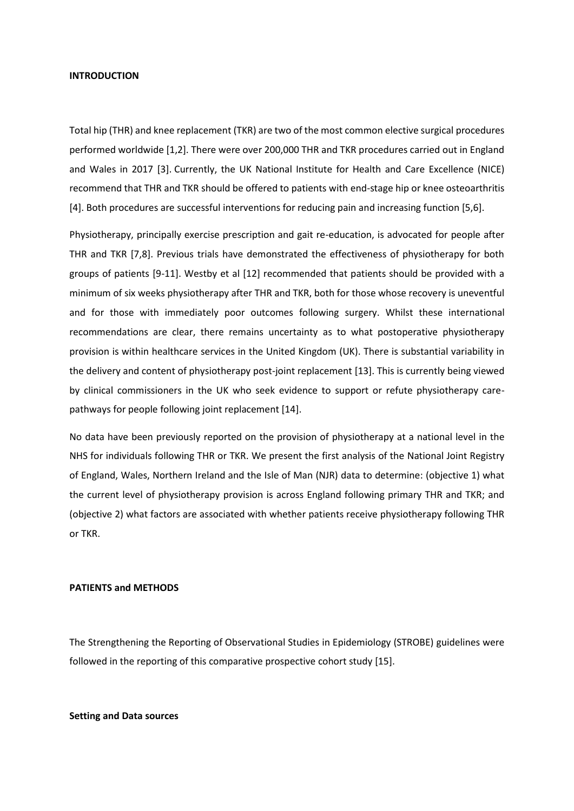### **INTRODUCTION**

Total hip (THR) and knee replacement (TKR) are two of the most common elective surgical procedures performed worldwide [1,2]. There were over 200,000 THR and TKR procedures carried out in England and Wales in 2017 [3]. Currently, the UK National Institute for Health and Care Excellence (NICE) recommend that THR and TKR should be offered to patients with end-stage hip or knee osteoarthritis [4]. Both procedures are successful interventions for reducing pain and increasing function [5,6].

Physiotherapy, principally exercise prescription and gait re-education, is advocated for people after THR and TKR [7,8]. Previous trials have demonstrated the effectiveness of physiotherapy for both groups of patients [9-11]. Westby et al [12] recommended that patients should be provided with a minimum of six weeks physiotherapy after THR and TKR, both for those whose recovery is uneventful and for those with immediately poor outcomes following surgery. Whilst these international recommendations are clear, there remains uncertainty as to what postoperative physiotherapy provision is within healthcare services in the United Kingdom (UK). There is substantial variability in the delivery and content of physiotherapy post-joint replacement [13]. This is currently being viewed by clinical commissioners in the UK who seek evidence to support or refute physiotherapy carepathways for people following joint replacement [14].

No data have been previously reported on the provision of physiotherapy at a national level in the NHS for individuals following THR or TKR. We present the first analysis of the National Joint Registry of England, Wales, Northern Ireland and the Isle of Man (NJR) data to determine: (objective 1) what the current level of physiotherapy provision is across England following primary THR and TKR; and (objective 2) what factors are associated with whether patients receive physiotherapy following THR or TKR.

## **PATIENTS and METHODS**

The Strengthening the Reporting of Observational Studies in Epidemiology (STROBE) guidelines were followed in the reporting of this comparative prospective cohort study [15].

#### **Setting and Data sources**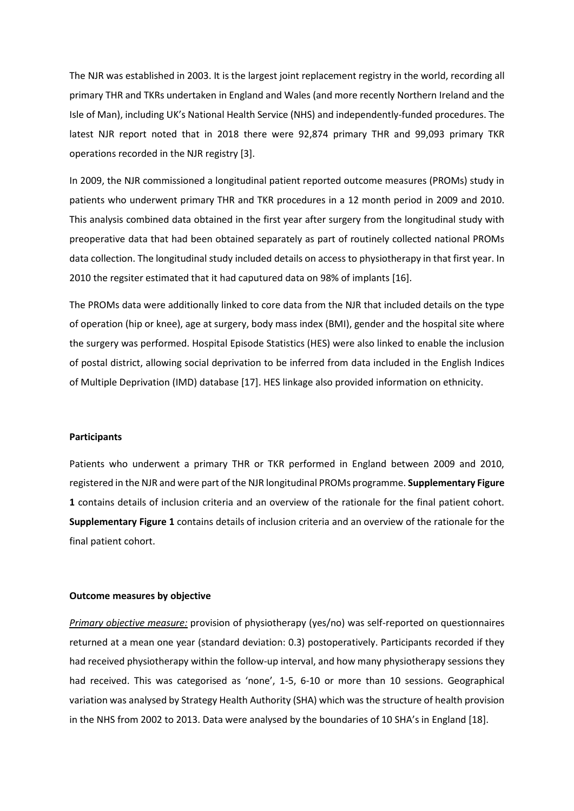The NJR was established in 2003. It is the largest joint replacement registry in the world, recording all primary THR and TKRs undertaken in England and Wales (and more recently Northern Ireland and the Isle of Man), including UK's National Health Service (NHS) and independently-funded procedures. The latest NJR report noted that in 2018 there were 92,874 primary THR and 99,093 primary TKR operations recorded in the NJR registry [3].

In 2009, the NJR commissioned a longitudinal patient reported outcome measures (PROMs) study in patients who underwent primary THR and TKR procedures in a 12 month period in 2009 and 2010. This analysis combined data obtained in the first year after surgery from the longitudinal study with preoperative data that had been obtained separately as part of routinely collected national PROMs data collection. The longitudinal study included details on access to physiotherapy in that first year. In 2010 the regsiter estimated that it had caputured data on 98% of implants [16].

The PROMs data were additionally linked to core data from the NJR that included details on the type of operation (hip or knee), age at surgery, body mass index (BMI), gender and the hospital site where the surgery was performed. Hospital Episode Statistics (HES) were also linked to enable the inclusion of postal district, allowing social deprivation to be inferred from data included in the English Indices of Multiple Deprivation (IMD) database [17]. HES linkage also provided information on ethnicity.

## **Participants**

Patients who underwent a primary THR or TKR performed in England between 2009 and 2010, registered in the NJR and were part of the NJR longitudinal PROMs programme. **Supplementary Figure 1** contains details of inclusion criteria and an overview of the rationale for the final patient cohort. **Supplementary Figure 1** contains details of inclusion criteria and an overview of the rationale for the final patient cohort.

### **Outcome measures by objective**

*Primary objective measure:* provision of physiotherapy (yes/no) was self-reported on questionnaires returned at a mean one year (standard deviation: 0.3) postoperatively. Participants recorded if they had received physiotherapy within the follow-up interval, and how many physiotherapy sessions they had received. This was categorised as 'none', 1-5, 6-10 or more than 10 sessions. Geographical variation was analysed by Strategy Health Authority (SHA) which was the structure of health provision in the NHS from 2002 to 2013. Data were analysed by the boundaries of 10 SHA's in England [18].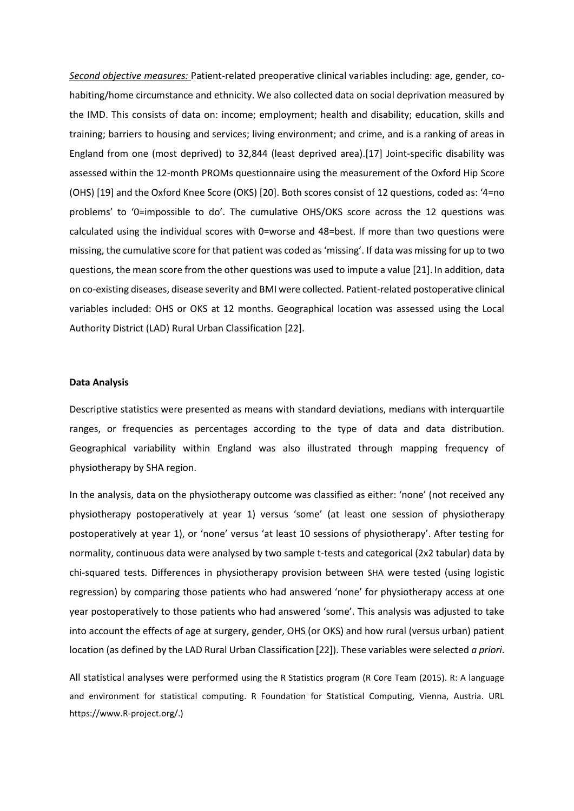*Second objective measures:* Patient-related preoperative clinical variables including: age, gender, cohabiting/home circumstance and ethnicity. We also collected data on social deprivation measured by the IMD. This consists of data on: income; employment; health and disability; education, skills and training; barriers to housing and services; living environment; and crime, and is a ranking of areas in England from one (most deprived) to 32,844 (least deprived area).[17] Joint-specific disability was assessed within the 12-month PROMs questionnaire using the measurement of the Oxford Hip Score (OHS) [19] and the Oxford Knee Score (OKS) [20]. Both scores consist of 12 questions, coded as: '4=no problems' to '0=impossible to do'. The cumulative OHS/OKS score across the 12 questions was calculated using the individual scores with 0=worse and 48=best. If more than two questions were missing, the cumulative score for that patient was coded as 'missing'. If data was missing for up to two questions, the mean score from the other questions was used to impute a value [21]. In addition, data on co-existing diseases, disease severity and BMI were collected. Patient-related postoperative clinical variables included: OHS or OKS at 12 months. Geographical location was assessed using the Local Authority District (LAD) Rural Urban Classification [22].

#### **Data Analysis**

Descriptive statistics were presented as means with standard deviations, medians with interquartile ranges, or frequencies as percentages according to the type of data and data distribution. Geographical variability within England was also illustrated through mapping frequency of physiotherapy by SHA region.

In the analysis, data on the physiotherapy outcome was classified as either: 'none' (not received any physiotherapy postoperatively at year 1) versus 'some' (at least one session of physiotherapy postoperatively at year 1), or 'none' versus 'at least 10 sessions of physiotherapy'. After testing for normality, continuous data were analysed by two sample t-tests and categorical (2x2 tabular) data by chi-squared tests. Differences in physiotherapy provision between SHA were tested (using logistic regression) by comparing those patients who had answered 'none' for physiotherapy access at one year postoperatively to those patients who had answered 'some'. This analysis was adjusted to take into account the effects of age at surgery, gender, OHS (or OKS) and how rural (versus urban) patient location (as defined by the LAD Rural Urban Classification [22]). These variables were selected *a priori*.

All statistical analyses were performed using the R Statistics program (R Core Team (2015). R: A language and environment for statistical computing. R Foundation for Statistical Computing, Vienna, Austria. URL https://www.R-project.org/.)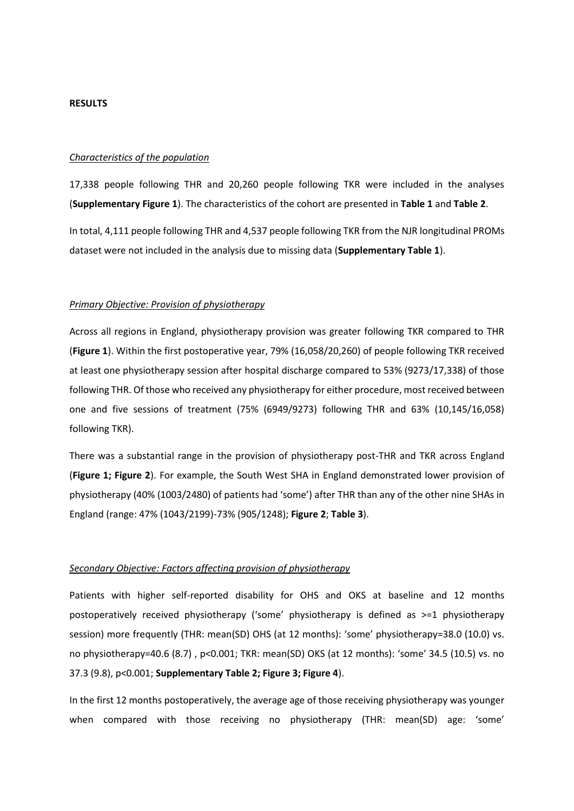### **RESULTS**

### *Characteristics of the population*

17,338 people following THR and 20,260 people following TKR were included in the analyses (**Supplementary Figure 1**). The characteristics of the cohort are presented in **Table 1** and **Table 2**.

In total, 4,111 people following THR and 4,537 people following TKR from the NJR longitudinal PROMs dataset were not included in the analysis due to missing data (**Supplementary Table 1**).

#### *Primary Objective: Provision of physiotherapy*

Across all regions in England, physiotherapy provision was greater following TKR compared to THR (**Figure 1**). Within the first postoperative year, 79% (16,058/20,260) of people following TKR received at least one physiotherapy session after hospital discharge compared to 53% (9273/17,338) of those following THR. Of those who received any physiotherapy for either procedure, most received between one and five sessions of treatment (75% (6949/9273) following THR and 63% (10,145/16,058) following TKR).

There was a substantial range in the provision of physiotherapy post-THR and TKR across England (**Figure 1; Figure 2**). For example, the South West SHA in England demonstrated lower provision of physiotherapy (40% (1003/2480) of patients had 'some') after THR than any of the other nine SHAs in England (range: 47% (1043/2199)-73% (905/1248); **Figure 2**; **Table 3**).

### *Secondary Objective: Factors affecting provision of physiotherapy*

Patients with higher self-reported disability for OHS and OKS at baseline and 12 months postoperatively received physiotherapy ('some' physiotherapy is defined as >=1 physiotherapy session) more frequently (THR: mean(SD) OHS (at 12 months): 'some' physiotherapy=38.0 (10.0) vs. no physiotherapy=40.6 (8.7) , p<0.001; TKR: mean(SD) OKS (at 12 months): 'some' 34.5 (10.5) vs. no 37.3 (9.8), p<0.001; **Supplementary Table 2; Figure 3; Figure 4**).

In the first 12 months postoperatively, the average age of those receiving physiotherapy was younger when compared with those receiving no physiotherapy (THR: mean(SD) age: 'some'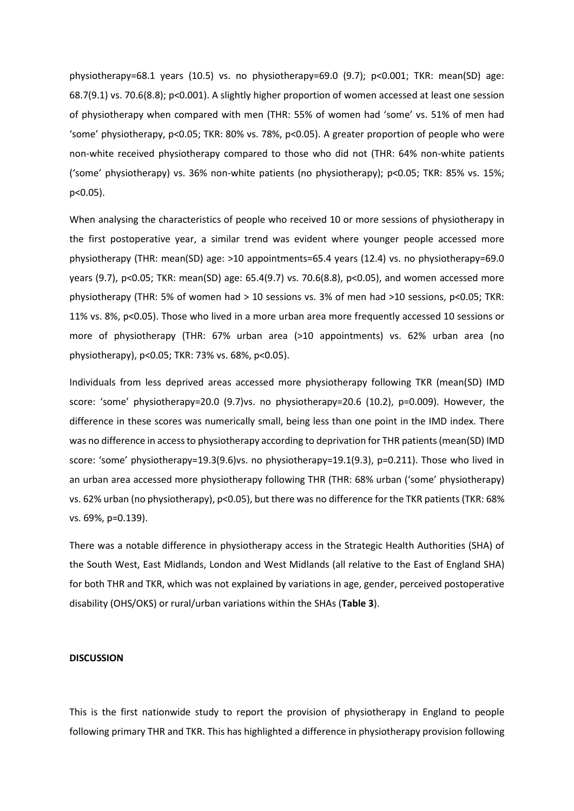physiotherapy=68.1 years (10.5) vs. no physiotherapy=69.0 (9.7); p<0.001; TKR: mean(SD) age: 68.7(9.1) vs. 70.6(8.8); p<0.001). A slightly higher proportion of women accessed at least one session of physiotherapy when compared with men (THR: 55% of women had 'some' vs. 51% of men had 'some' physiotherapy, p<0.05; TKR: 80% vs. 78%, p<0.05). A greater proportion of people who were non-white received physiotherapy compared to those who did not (THR: 64% non-white patients ('some' physiotherapy) vs. 36% non-white patients (no physiotherapy); p<0.05; TKR: 85% vs. 15%; p<0.05).

When analysing the characteristics of people who received 10 or more sessions of physiotherapy in the first postoperative year, a similar trend was evident where younger people accessed more physiotherapy (THR: mean(SD) age: >10 appointments=65.4 years (12.4) vs. no physiotherapy=69.0 years (9.7), p<0.05; TKR: mean(SD) age: 65.4(9.7) vs. 70.6(8.8), p<0.05), and women accessed more physiotherapy (THR: 5% of women had > 10 sessions vs. 3% of men had >10 sessions, p<0.05; TKR: 11% vs. 8%, p<0.05). Those who lived in a more urban area more frequently accessed 10 sessions or more of physiotherapy (THR: 67% urban area (>10 appointments) vs. 62% urban area (no physiotherapy), p<0.05; TKR: 73% vs. 68%, p<0.05).

Individuals from less deprived areas accessed more physiotherapy following TKR (mean(SD) IMD score: 'some' physiotherapy=20.0 (9.7)vs. no physiotherapy=20.6 (10.2), p=0.009). However, the difference in these scores was numerically small, being less than one point in the IMD index. There was no difference in access to physiotherapy according to deprivation for THR patients (mean(SD) IMD score: 'some' physiotherapy=19.3(9.6)vs. no physiotherapy=19.1(9.3), p=0.211). Those who lived in an urban area accessed more physiotherapy following THR (THR: 68% urban ('some' physiotherapy) vs. 62% urban (no physiotherapy), p<0.05), but there was no difference for the TKR patients (TKR: 68% vs. 69%, p=0.139).

There was a notable difference in physiotherapy access in the Strategic Health Authorities (SHA) of the South West, East Midlands, London and West Midlands (all relative to the East of England SHA) for both THR and TKR, which was not explained by variations in age, gender, perceived postoperative disability (OHS/OKS) or rural/urban variations within the SHAs (**Table 3**).

### **DISCUSSION**

This is the first nationwide study to report the provision of physiotherapy in England to people following primary THR and TKR. This has highlighted a difference in physiotherapy provision following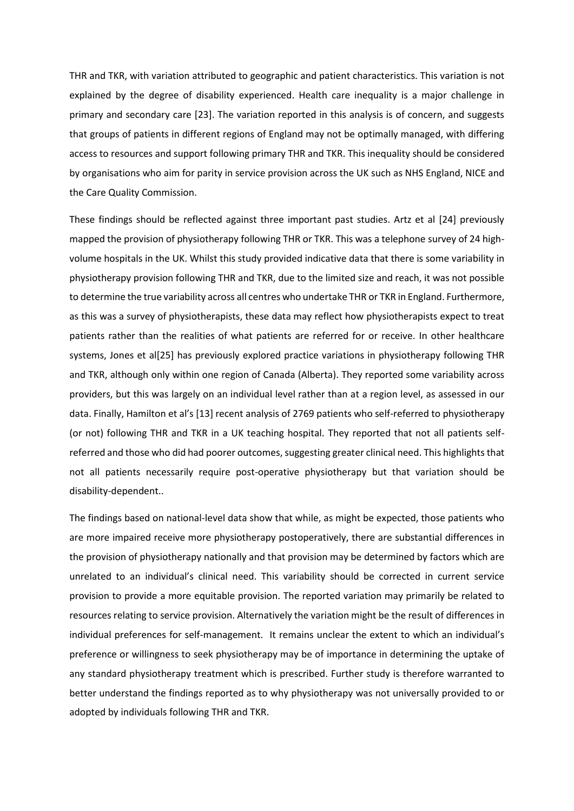THR and TKR, with variation attributed to geographic and patient characteristics. This variation is not explained by the degree of disability experienced. Health care inequality is a major challenge in primary and secondary care [23]. The variation reported in this analysis is of concern, and suggests that groups of patients in different regions of England may not be optimally managed, with differing access to resources and support following primary THR and TKR. This inequality should be considered by organisations who aim for parity in service provision across the UK such as NHS England, NICE and the Care Quality Commission.

These findings should be reflected against three important past studies. Artz et al [24] previously mapped the provision of physiotherapy following THR or TKR. This was a telephone survey of 24 highvolume hospitals in the UK. Whilst this study provided indicative data that there is some variability in physiotherapy provision following THR and TKR, due to the limited size and reach, it was not possible to determine the true variability across all centres who undertake THR or TKR in England. Furthermore, as this was a survey of physiotherapists, these data may reflect how physiotherapists expect to treat patients rather than the realities of what patients are referred for or receive. In other healthcare systems, Jones et al[25] has previously explored practice variations in physiotherapy following THR and TKR, although only within one region of Canada (Alberta). They reported some variability across providers, but this was largely on an individual level rather than at a region level, as assessed in our data. Finally, Hamilton et al's [13] recent analysis of 2769 patients who self-referred to physiotherapy (or not) following THR and TKR in a UK teaching hospital. They reported that not all patients selfreferred and those who did had poorer outcomes, suggesting greater clinical need. This highlights that not all patients necessarily require post-operative physiotherapy but that variation should be disability-dependent..

The findings based on national-level data show that while, as might be expected, those patients who are more impaired receive more physiotherapy postoperatively, there are substantial differences in the provision of physiotherapy nationally and that provision may be determined by factors which are unrelated to an individual's clinical need. This variability should be corrected in current service provision to provide a more equitable provision. The reported variation may primarily be related to resources relating to service provision. Alternatively the variation might be the result of differences in individual preferences for self-management. It remains unclear the extent to which an individual's preference or willingness to seek physiotherapy may be of importance in determining the uptake of any standard physiotherapy treatment which is prescribed. Further study is therefore warranted to better understand the findings reported as to why physiotherapy was not universally provided to or adopted by individuals following THR and TKR.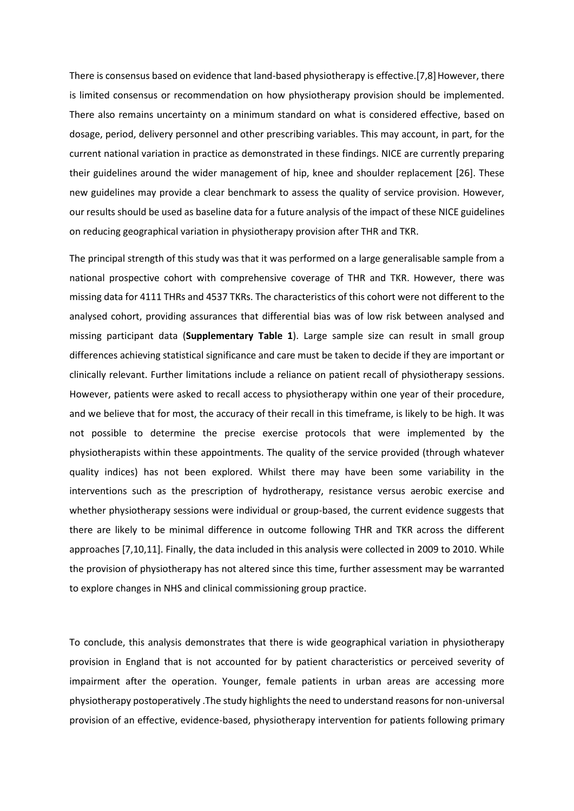There is consensus based on evidence that land-based physiotherapy is effective.[7,8] However, there is limited consensus or recommendation on how physiotherapy provision should be implemented. There also remains uncertainty on a minimum standard on what is considered effective, based on dosage, period, delivery personnel and other prescribing variables. This may account, in part, for the current national variation in practice as demonstrated in these findings. NICE are currently preparing their guidelines around the wider management of hip, knee and shoulder replacement [26]. These new guidelines may provide a clear benchmark to assess the quality of service provision. However, our results should be used as baseline data for a future analysis of the impact of these NICE guidelines on reducing geographical variation in physiotherapy provision after THR and TKR.

The principal strength of this study was that it was performed on a large generalisable sample from a national prospective cohort with comprehensive coverage of THR and TKR. However, there was missing data for 4111 THRs and 4537 TKRs. The characteristics of this cohort were not different to the analysed cohort, providing assurances that differential bias was of low risk between analysed and missing participant data (**Supplementary Table 1**). Large sample size can result in small group differences achieving statistical significance and care must be taken to decide if they are important or clinically relevant. Further limitations include a reliance on patient recall of physiotherapy sessions. However, patients were asked to recall access to physiotherapy within one year of their procedure, and we believe that for most, the accuracy of their recall in this timeframe, is likely to be high. It was not possible to determine the precise exercise protocols that were implemented by the physiotherapists within these appointments. The quality of the service provided (through whatever quality indices) has not been explored. Whilst there may have been some variability in the interventions such as the prescription of hydrotherapy, resistance versus aerobic exercise and whether physiotherapy sessions were individual or group-based, the current evidence suggests that there are likely to be minimal difference in outcome following THR and TKR across the different approaches [7,10,11]. Finally, the data included in this analysis were collected in 2009 to 2010. While the provision of physiotherapy has not altered since this time, further assessment may be warranted to explore changes in NHS and clinical commissioning group practice.

To conclude, this analysis demonstrates that there is wide geographical variation in physiotherapy provision in England that is not accounted for by patient characteristics or perceived severity of impairment after the operation. Younger, female patients in urban areas are accessing more physiotherapy postoperatively .The study highlights the need to understand reasons for non-universal provision of an effective, evidence-based, physiotherapy intervention for patients following primary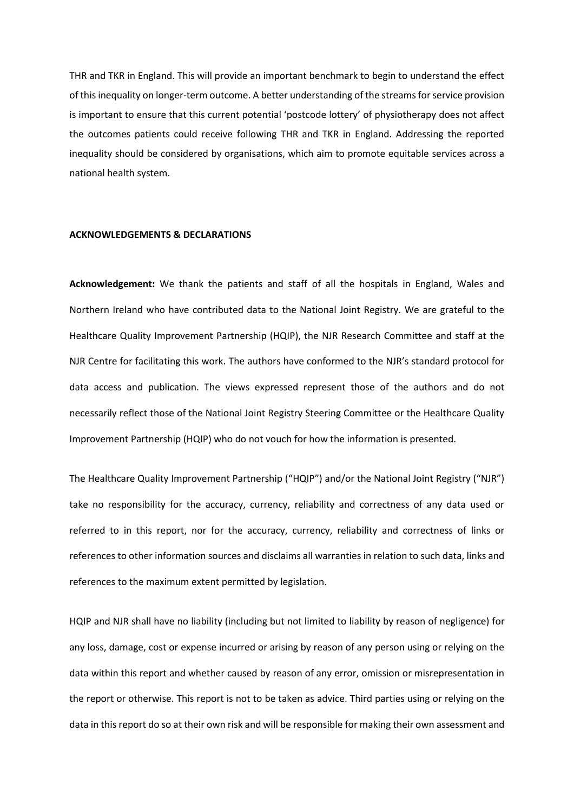THR and TKR in England. This will provide an important benchmark to begin to understand the effect of this inequality on longer-term outcome. A better understanding of the streams for service provision is important to ensure that this current potential 'postcode lottery' of physiotherapy does not affect the outcomes patients could receive following THR and TKR in England. Addressing the reported inequality should be considered by organisations, which aim to promote equitable services across a national health system.

#### **ACKNOWLEDGEMENTS & DECLARATIONS**

**Acknowledgement:** We thank the patients and staff of all the hospitals in England, Wales and Northern Ireland who have contributed data to the National Joint Registry. We are grateful to the Healthcare Quality Improvement Partnership (HQIP), the NJR Research Committee and staff at the NJR Centre for facilitating this work. The authors have conformed to the NJR's standard protocol for data access and publication. The views expressed represent those of the authors and do not necessarily reflect those of the National Joint Registry Steering Committee or the Healthcare Quality Improvement Partnership (HQIP) who do not vouch for how the information is presented.

The Healthcare Quality Improvement Partnership ("HQIP") and/or the National Joint Registry ("NJR") take no responsibility for the accuracy, currency, reliability and correctness of any data used or referred to in this report, nor for the accuracy, currency, reliability and correctness of links or references to other information sources and disclaims all warranties in relation to such data, links and references to the maximum extent permitted by legislation.

HQIP and NJR shall have no liability (including but not limited to liability by reason of negligence) for any loss, damage, cost or expense incurred or arising by reason of any person using or relying on the data within this report and whether caused by reason of any error, omission or misrepresentation in the report or otherwise. This report is not to be taken as advice. Third parties using or relying on the data in this report do so at their own risk and will be responsible for making their own assessment and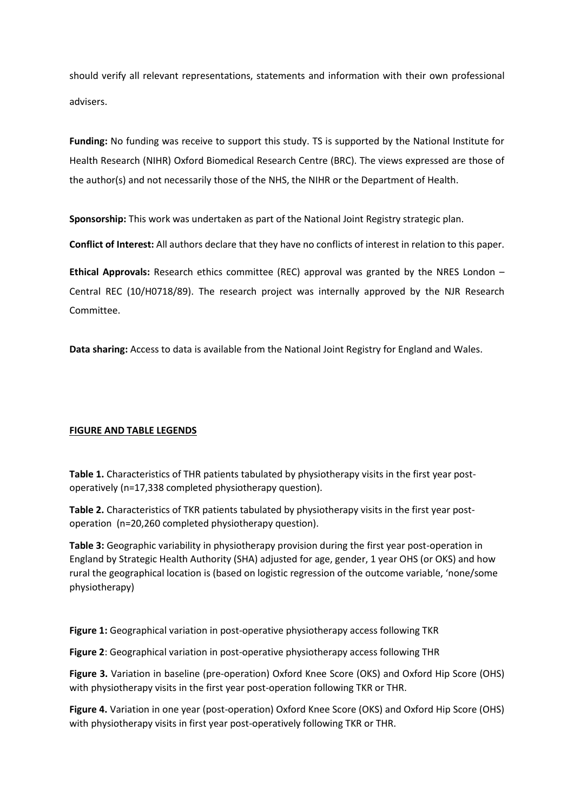should verify all relevant representations, statements and information with their own professional advisers.

**Funding:** No funding was receive to support this study. TS is supported by the National Institute for Health Research (NIHR) Oxford Biomedical Research Centre (BRC). The views expressed are those of the author(s) and not necessarily those of the NHS, the NIHR or the Department of Health.

**Sponsorship:** This work was undertaken as part of the National Joint Registry strategic plan.

**Conflict of Interest:** All authors declare that they have no conflicts of interest in relation to this paper.

**Ethical Approvals:** Research ethics committee (REC) approval was granted by the NRES London – Central REC (10/H0718/89). The research project was internally approved by the NJR Research Committee.

**Data sharing:** Access to data is available from the National Joint Registry for England and Wales.

# **FIGURE AND TABLE LEGENDS**

**Table 1.** Characteristics of THR patients tabulated by physiotherapy visits in the first year postoperatively (n=17,338 completed physiotherapy question).

**Table 2.** Characteristics of TKR patients tabulated by physiotherapy visits in the first year postoperation (n=20,260 completed physiotherapy question).

**Table 3:** Geographic variability in physiotherapy provision during the first year post-operation in England by Strategic Health Authority (SHA) adjusted for age, gender, 1 year OHS (or OKS) and how rural the geographical location is (based on logistic regression of the outcome variable, 'none/some physiotherapy)

**Figure 1:** Geographical variation in post-operative physiotherapy access following TKR

**Figure 2**: Geographical variation in post-operative physiotherapy access following THR

**Figure 3.** Variation in baseline (pre-operation) Oxford Knee Score (OKS) and Oxford Hip Score (OHS) with physiotherapy visits in the first year post-operation following TKR or THR.

**Figure 4.** Variation in one year (post-operation) Oxford Knee Score (OKS) and Oxford Hip Score (OHS) with physiotherapy visits in first year post-operatively following TKR or THR.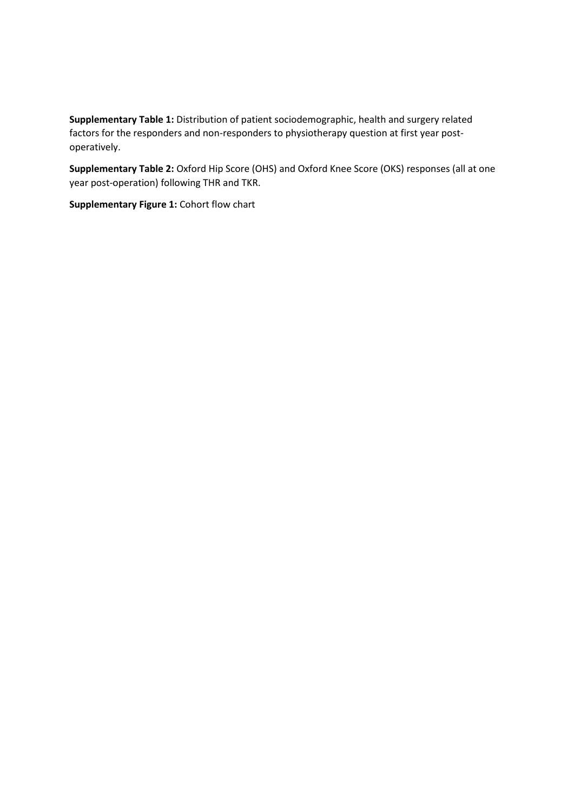**Supplementary Table 1:** Distribution of patient sociodemographic, health and surgery related factors for the responders and non-responders to physiotherapy question at first year postoperatively.

**Supplementary Table 2:** Oxford Hip Score (OHS) and Oxford Knee Score (OKS) responses (all at one year post-operation) following THR and TKR.

**Supplementary Figure 1:** Cohort flow chart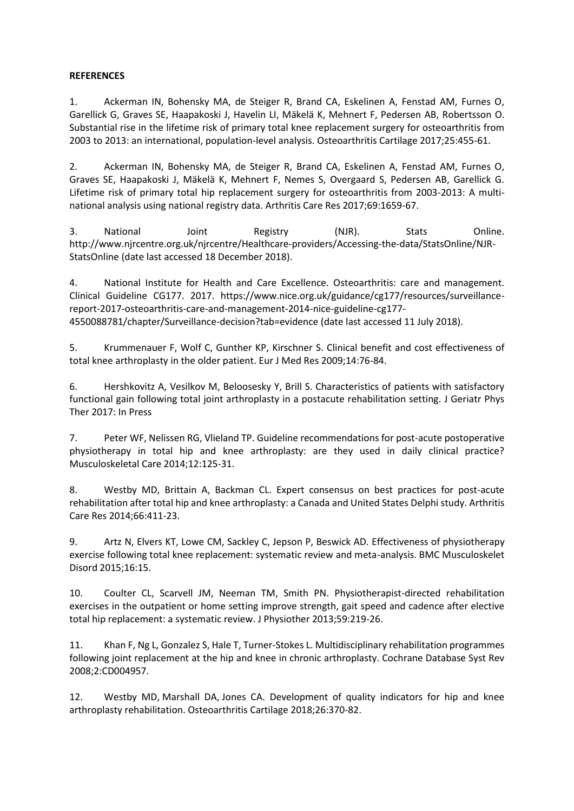# **REFERENCES**

1. Ackerman IN, Bohensky MA, de Steiger R, Brand CA, Eskelinen A, Fenstad AM, Furnes O, Garellick G, Graves SE, Haapakoski J, Havelin LI, Mäkelä K, Mehnert F, Pedersen AB, Robertsson O. Substantial rise in the lifetime risk of primary total knee replacement surgery for osteoarthritis from 2003 to 2013: an international, population-level analysis. Osteoarthritis Cartilage 2017;25:455-61.

2. Ackerman IN, Bohensky MA, de Steiger R, Brand CA, Eskelinen A, Fenstad AM, Furnes O, Graves SE, Haapakoski J, Mäkelä K, Mehnert F, Nemes S, Overgaard S, Pedersen AB, Garellick G. Lifetime risk of primary total hip replacement surgery for osteoarthritis from 2003-2013: A multinational analysis using national registry data. Arthritis Care Res 2017;69:1659-67.

3. National Joint Registry (NJR). Stats Online. http://www.njrcentre.org.uk/njrcentre/Healthcare-providers/Accessing-the-data/StatsOnline/NJR-StatsOnline (date last accessed 18 December 2018).

4. National Institute for Health and Care Excellence. Osteoarthritis: care and management. Clinical Guideline CG177. 2017. https://www.nice.org.uk/guidance/cg177/resources/surveillancereport-2017-osteoarthritis-care-and-management-2014-nice-guideline-cg177- 4550088781/chapter/Surveillance-decision?tab=evidence (date last accessed 11 July 2018).

5. Krummenauer F, Wolf C, Gunther KP, Kirschner S. Clinical benefit and cost effectiveness of total knee arthroplasty in the older patient. Eur J Med Res 2009;14:76-84.

6. Hershkovitz A, Vesilkov M, Beloosesky Y, Brill S. Characteristics of patients with satisfactory functional gain following total joint arthroplasty in a postacute rehabilitation setting. J Geriatr Phys Ther 2017: In Press

7. Peter WF, Nelissen RG, Vlieland TP. Guideline recommendations for post-acute postoperative physiotherapy in total hip and knee arthroplasty: are they used in daily clinical practice? Musculoskeletal Care 2014;12:125-31.

8. Westby MD, Brittain A, Backman CL. Expert consensus on best practices for post-acute rehabilitation after total hip and knee arthroplasty: a Canada and United States Delphi study. Arthritis Care Res 2014;66:411-23.

9. Artz N, Elvers KT, Lowe CM, Sackley C, Jepson P, Beswick AD. Effectiveness of physiotherapy exercise following total knee replacement: systematic review and meta-analysis. BMC Musculoskelet Disord 2015;16:15.

10. Coulter CL, Scarvell JM, Neeman TM, Smith PN. Physiotherapist-directed rehabilitation exercises in the outpatient or home setting improve strength, gait speed and cadence after elective total hip replacement: a systematic review. J Physiother 2013;59:219-26.

11. Khan F, Ng L, Gonzalez S, Hale T, Turner-Stokes L. Multidisciplinary rehabilitation programmes following joint replacement at the hip and knee in chronic arthroplasty. Cochrane Database Syst Rev 2008;2:CD004957.

12. Westby MD, Marshall DA, Jones CA. Development of quality indicators for hip and knee arthroplasty rehabilitation. Osteoarthritis Cartilage 2018;26:370-82.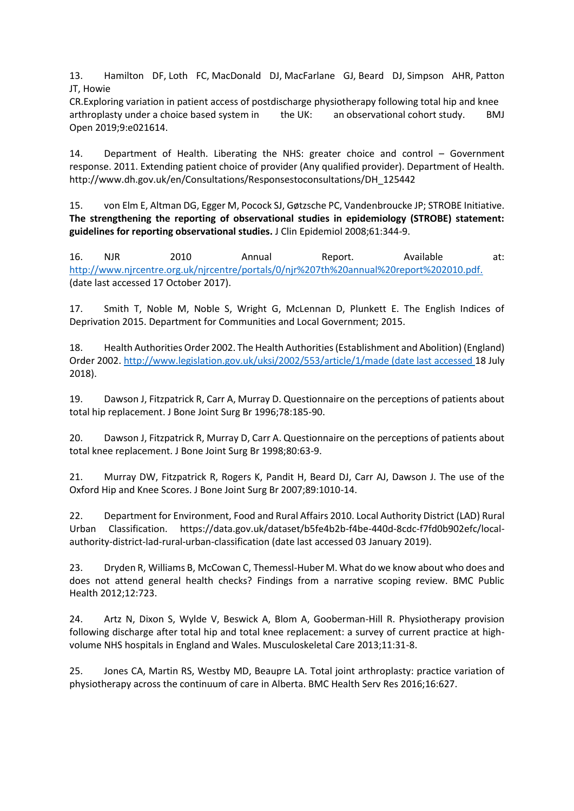13. Hamilton DF, Loth FC, MacDonald DJ, MacFarlane GJ, Beard DJ, Simpson AHR, Patton JT, Howie

CR.Exploring variation in patient access of postdischarge physiotherapy following total hip and knee arthroplasty under a choice based system in the UK: an observational cohort study. BMJ Open 2019;9:e021614.

14. Department of Health. Liberating the NHS: greater choice and control – Government response. 2011. Extending patient choice of provider (Any qualified provider). Department of Health. http://www.dh.gov.uk/en/Consultations/Responsestoconsultations/DH\_125442

15. von Elm E, Altman DG, Egger M, Pocock SJ, Gøtzsche PC, Vandenbroucke JP; STROBE Initiative. **The strengthening the reporting of observational studies in epidemiology (STROBE) statement: guidelines for reporting observational studies.** J Clin Epidemiol 2008;61:344-9.

16. NJR 2010 Annual Report. Available at: [http://www.njrcentre.org.uk/njrcentre/portals/0/njr%207th%20annual%20report%202010.pdf.](http://www.njrcentre.org.uk/njrcentre/portals/0/njr%207th%20annual%20report%202010.pdf) (date last accessed 17 October 2017).

17. Smith T, Noble M, Noble S, Wright G, McLennan D, Plunkett E. The English Indices of Deprivation 2015. Department for Communities and Local Government; 2015.

18. Health Authorities Order 2002. The Health Authorities (Establishment and Abolition) (England) Order 2002. http://www.legislation.gov.uk/uksi/2002/553/article/1/made (date last accessed 18 July 2018).

19. Dawson J, Fitzpatrick R, Carr A, Murray D. Questionnaire on the perceptions of patients about total hip replacement. J Bone Joint Surg Br 1996;78:185-90.

20. Dawson J, Fitzpatrick R, Murray D, Carr A. Questionnaire on the perceptions of patients about total knee replacement. J Bone Joint Surg Br 1998;80:63-9.

21. Murray DW, Fitzpatrick R, Rogers K, Pandit H, Beard DJ, Carr AJ, Dawson J. The use of the Oxford Hip and Knee Scores. J Bone Joint Surg Br 2007;89:1010-14.

22. Department for Environment, Food and Rural Affairs 2010. Local Authority District (LAD) Rural Urban Classification. https://data.gov.uk/dataset/b5fe4b2b-f4be-440d-8cdc-f7fd0b902efc/localauthority-district-lad-rural-urban-classification (date last accessed 03 January 2019).

23. Dryden R, Williams B, McCowan C, Themessl-Huber M. What do we know about who does and does not attend general health checks? Findings from a narrative scoping review. BMC Public Health 2012;12:723.

24. Artz N, Dixon S, Wylde V, Beswick A, Blom A, Gooberman-Hill R. Physiotherapy provision following discharge after total hip and total knee replacement: a survey of current practice at highvolume NHS hospitals in England and Wales. Musculoskeletal Care 2013;11:31-8.

25. Jones CA, Martin RS, Westby MD, Beaupre LA. Total joint arthroplasty: practice variation of physiotherapy across the continuum of care in Alberta. BMC Health Serv Res 2016;16:627.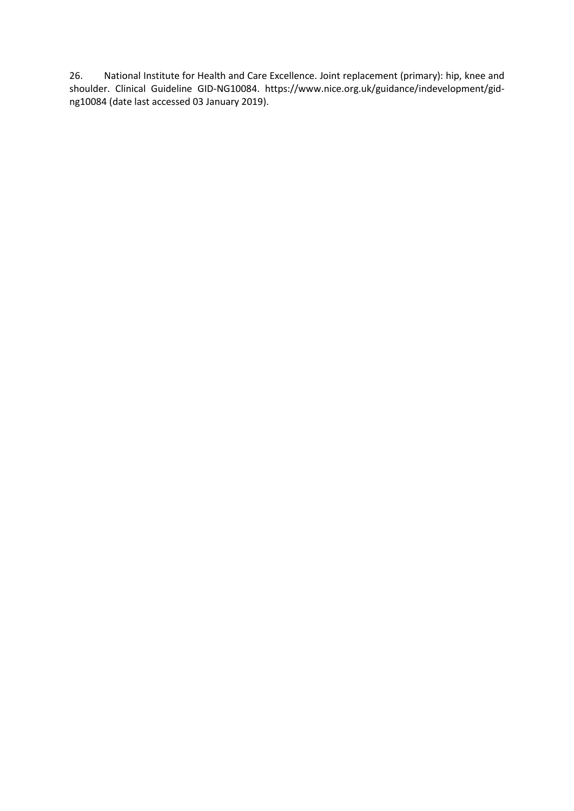26. National Institute for Health and Care Excellence. Joint replacement (primary): hip, knee and shoulder. Clinical Guideline GID-NG10084. https://www.nice.org.uk/guidance/indevelopment/gidng10084 (date last accessed 03 January 2019).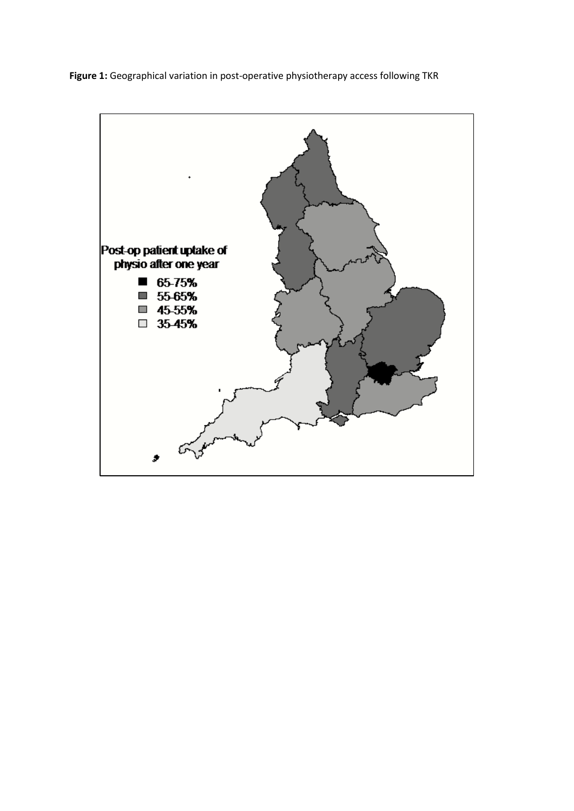

**Figure 1:** Geographical variation in post-operative physiotherapy access following TKR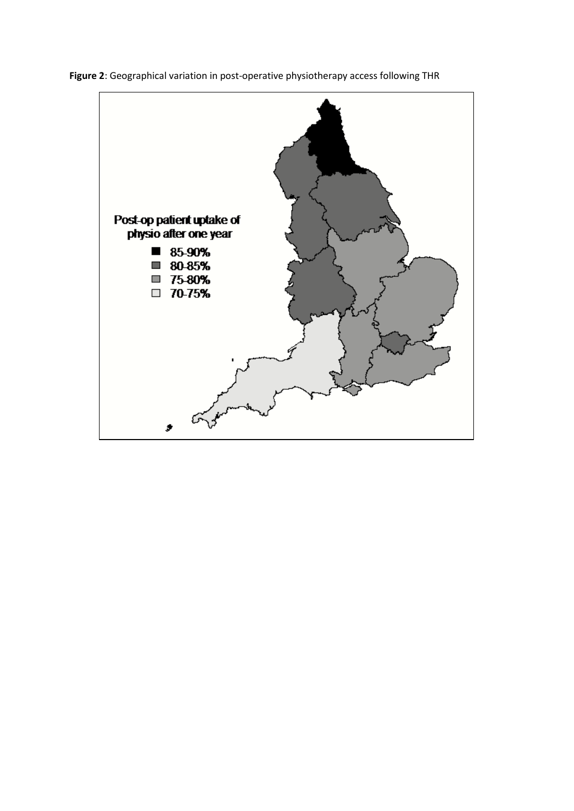

**Figure 2**: Geographical variation in post-operative physiotherapy access following THR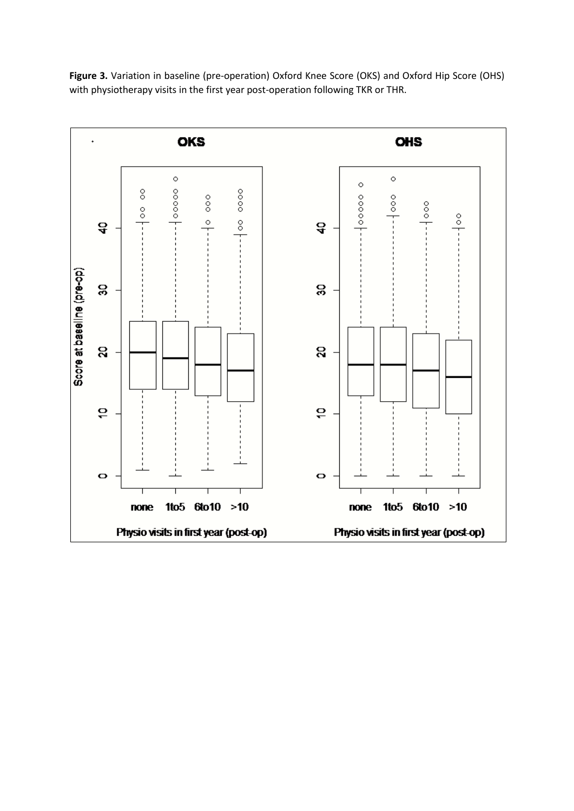

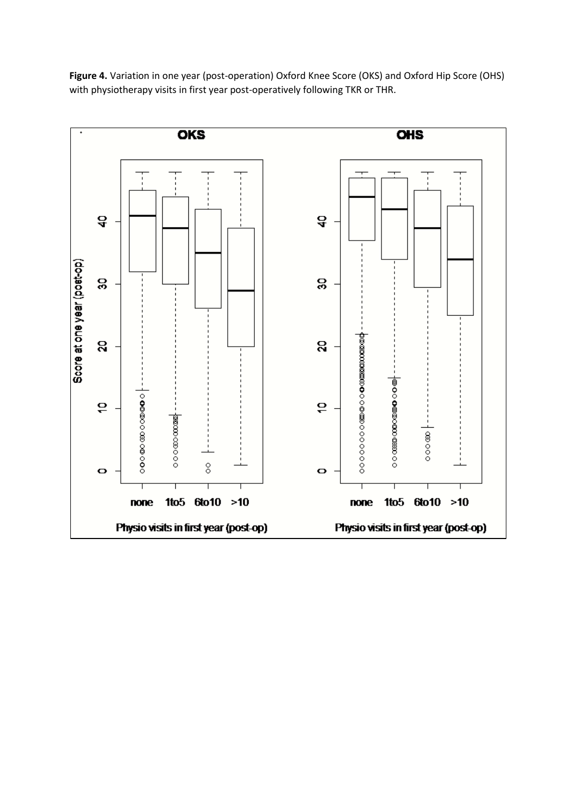

**Figure 4.** Variation in one year (post-operation) Oxford Knee Score (OKS) and Oxford Hip Score (OHS) with physiotherapy visits in first year post-operatively following TKR or THR.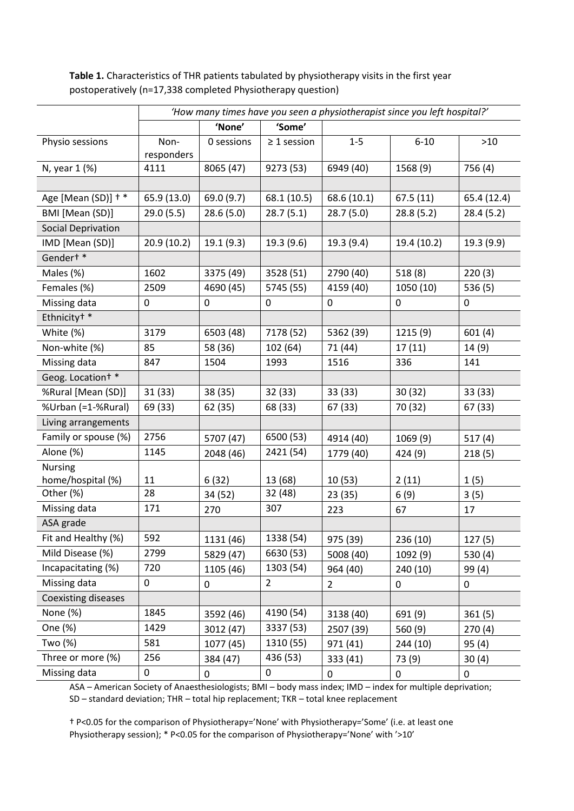|                               | 'How many times have you seen a physiotherapist since you left hospital?' |            |                  |                |             |             |  |  |
|-------------------------------|---------------------------------------------------------------------------|------------|------------------|----------------|-------------|-------------|--|--|
|                               |                                                                           | 'None'     | 'Some'           |                |             |             |  |  |
| Physio sessions               | Non-<br>responders                                                        | 0 sessions | $\geq$ 1 session | $1 - 5$        | $6 - 10$    | $>10$       |  |  |
| N, year 1 (%)                 | 4111                                                                      | 8065 (47)  | 9273 (53)        | 6949 (40)      | 1568 (9)    | 756 (4)     |  |  |
|                               |                                                                           |            |                  |                |             |             |  |  |
| Age [Mean (SD)] $+$ *         | 65.9 (13.0)                                                               | 69.0 (9.7) | 68.1 (10.5)      | 68.6(10.1)     | 67.5(11)    | 65.4 (12.4) |  |  |
| BMI [Mean (SD)]               | 29.0(5.5)                                                                 | 28.6(5.0)  | 28.7(5.1)        | 28.7(5.0)      | 28.8(5.2)   | 28.4(5.2)   |  |  |
| Social Deprivation            |                                                                           |            |                  |                |             |             |  |  |
| IMD [Mean (SD)]               | 20.9(10.2)                                                                | 19.1(9.3)  | 19.3(9.6)        | 19.3(9.4)      | 19.4 (10.2) | 19.3 (9.9)  |  |  |
| Gendert *                     |                                                                           |            |                  |                |             |             |  |  |
| Males (%)                     | 1602                                                                      | 3375 (49)  | 3528 (51)        | 2790 (40)      | 518(8)      | 220(3)      |  |  |
| Females (%)                   | 2509                                                                      | 4690 (45)  | 5745 (55)        | 4159 (40)      | 1050 (10)   | 536(5)      |  |  |
| Missing data                  | 0                                                                         | 0          | 0                | 0              | 0           | 0           |  |  |
| Ethnicity <sup>+</sup> *      |                                                                           |            |                  |                |             |             |  |  |
| White (%)                     | 3179                                                                      | 6503 (48)  | 7178 (52)        | 5362 (39)      | 1215 (9)    | 601(4)      |  |  |
| Non-white (%)                 | 85                                                                        | 58 (36)    | 102 (64)         | 71 (44)        | 17(11)      | 14(9)       |  |  |
| Missing data                  | 847                                                                       | 1504       | 1993             | 1516           | 336         | 141         |  |  |
| Geog. Location <sup>+</sup> * |                                                                           |            |                  |                |             |             |  |  |
| %Rural [Mean (SD)]            | 31(33)                                                                    | 38 (35)    | 32 (33)          | 33(33)         | 30(32)      | 33 (33)     |  |  |
| %Urban (=1-%Rural)            | 69 (33)                                                                   | 62 (35)    | 68 (33)          | 67(33)         | 70 (32)     | 67 (33)     |  |  |
| Living arrangements           |                                                                           |            |                  |                |             |             |  |  |
| Family or spouse (%)          | 2756                                                                      | 5707 (47)  | 6500 (53)        | 4914 (40)      | 1069 (9)    | 517(4)      |  |  |
| Alone (%)                     | 1145                                                                      | 2048 (46)  | 2421 (54)        | 1779 (40)      | 424 (9)     | 218(5)      |  |  |
| <b>Nursing</b>                |                                                                           |            |                  |                |             |             |  |  |
| home/hospital (%)             | 11                                                                        | 6(32)      | 13 (68)          | 10(53)         | 2(11)       | 1(5)        |  |  |
| Other (%)                     | 28                                                                        | 34 (52)    | 32(48)           | 23(35)         | 6(9)        | 3(5)        |  |  |
| Missing data                  | 171                                                                       | 270        | 307              | 223            | 67          | 17          |  |  |
| ASA grade                     |                                                                           |            |                  |                |             |             |  |  |
| Fit and Healthy (%)           | 592                                                                       | 1131 (46)  | 1338 (54)        | 975 (39)       | 236 (10)    | 127(5)      |  |  |
| Mild Disease (%)              | 2799                                                                      | 5829 (47)  | 6630 (53)        | 5008 (40)      | 1092 (9)    | 530 (4)     |  |  |
| Incapacitating (%)            | 720                                                                       | 1105 (46)  | 1303 (54)        | 964 (40)       | 240 (10)    | 99 (4)      |  |  |
| Missing data                  | 0                                                                         | 0          | $\overline{2}$   | $\overline{2}$ | 0           | 0           |  |  |
| Coexisting diseases           |                                                                           |            |                  |                |             |             |  |  |
| None (%)                      | 1845                                                                      | 3592 (46)  | 4190 (54)        | 3138 (40)      | 691 (9)     | 361(5)      |  |  |
| One (%)                       | 1429                                                                      | 3012 (47)  | 3337 (53)        | 2507 (39)      | 560 (9)     | 270 (4)     |  |  |
| Two (%)                       | 581                                                                       | 1077 (45)  | 1310 (55)        | 971 (41)       | 244 (10)    | 95(4)       |  |  |
| Three or more (%)             | 256                                                                       | 384 (47)   | 436 (53)         | 333 (41)       | 73 (9)      | 30(4)       |  |  |
| Missing data                  | 0                                                                         | 0          | 0                | 0              | 0           | 0           |  |  |

**Table 1.** Characteristics of THR patients tabulated by physiotherapy visits in the first year postoperatively (n=17,338 completed Physiotherapy question)

ASA – American Society of Anaesthesiologists; BMI – body mass index; IMD – index for multiple deprivation; SD – standard deviation; THR – total hip replacement; TKR – total knee replacement

† P<0.05 for the comparison of Physiotherapy='None' with Physiotherapy='Some' (i.e. at least one Physiotherapy session); \* P<0.05 for the comparison of Physiotherapy='None' with '>10'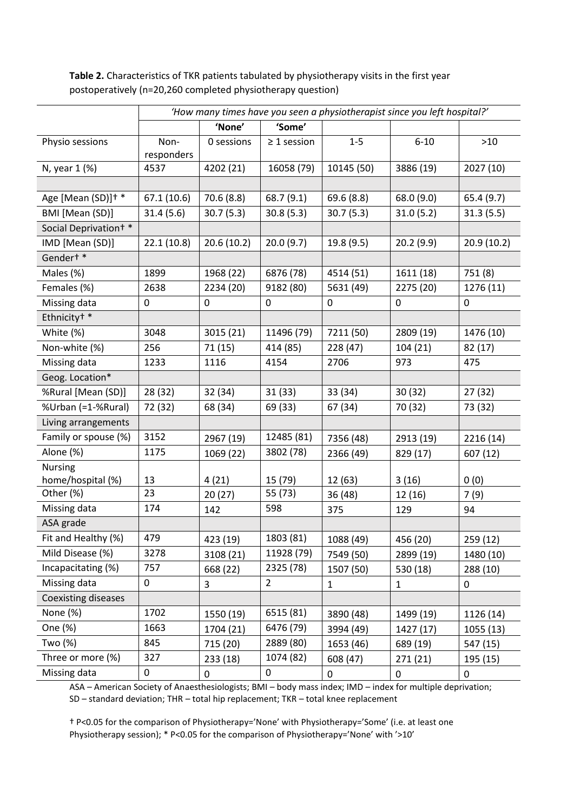|                                   | 'How many times have you seen a physiotherapist since you left hospital?' |            |                  |              |            |             |  |  |
|-----------------------------------|---------------------------------------------------------------------------|------------|------------------|--------------|------------|-------------|--|--|
|                                   |                                                                           | 'None'     | 'Some'           |              |            |             |  |  |
| Physio sessions                   | Non-<br>responders                                                        | 0 sessions | $\geq$ 1 session | $1 - 5$      | $6 - 10$   | $>10$       |  |  |
| N, year 1 (%)                     | 4537                                                                      | 4202 (21)  | 16058 (79)       | 10145 (50)   | 3886 (19)  | 2027 (10)   |  |  |
|                                   |                                                                           |            |                  |              |            |             |  |  |
| Age [Mean (SD)]+ *                | 67.1 (10.6)                                                               | 70.6 (8.8) | 68.7(9.1)        | 69.6(8.8)    | 68.0 (9.0) | 65.4(9.7)   |  |  |
| BMI [Mean (SD)]                   | 31.4(5.6)                                                                 | 30.7(5.3)  | 30.8(5.3)        | 30.7(5.3)    | 31.0(5.2)  | 31.3(5.5)   |  |  |
| Social Deprivation <sup>+</sup> * |                                                                           |            |                  |              |            |             |  |  |
| IMD [Mean (SD)]                   | 22.1(10.8)                                                                | 20.6(10.2) | 20.0(9.7)        | 19.8(9.5)    | 20.2(9.9)  | 20.9 (10.2) |  |  |
| Gendert *                         |                                                                           |            |                  |              |            |             |  |  |
| Males (%)                         | 1899                                                                      | 1968 (22)  | 6876 (78)        | 4514 (51)    | 1611 (18)  | 751(8)      |  |  |
| Females (%)                       | 2638                                                                      | 2234 (20)  | 9182 (80)        | 5631 (49)    | 2275 (20)  | 1276 (11)   |  |  |
| Missing data                      | 0                                                                         | 0          | $\mathbf 0$      | 0            | 0          | 0           |  |  |
| Ethnicity <sup>+</sup> *          |                                                                           |            |                  |              |            |             |  |  |
| White (%)                         | 3048                                                                      | 3015(21)   | 11496 (79)       | 7211 (50)    | 2809 (19)  | 1476 (10)   |  |  |
| Non-white (%)                     | 256                                                                       | 71(15)     | 414 (85)         | 228 (47)     | 104 (21)   | 82 (17)     |  |  |
| Missing data                      | 1233                                                                      | 1116       | 4154             | 2706         | 973        | 475         |  |  |
| Geog. Location*                   |                                                                           |            |                  |              |            |             |  |  |
| %Rural [Mean (SD)]                | 28 (32)                                                                   | 32 (34)    | 31(33)           | 33 (34)      | 30(32)     | 27(32)      |  |  |
| %Urban (=1-%Rural)                | 72 (32)                                                                   | 68 (34)    | 69 (33)          | 67 (34)      | 70 (32)    | 73 (32)     |  |  |
| Living arrangements               |                                                                           |            |                  |              |            |             |  |  |
| Family or spouse (%)              | 3152                                                                      | 2967 (19)  | 12485 (81)       | 7356 (48)    | 2913 (19)  | 2216 (14)   |  |  |
| Alone (%)                         | 1175                                                                      | 1069 (22)  | 3802 (78)        | 2366 (49)    | 829 (17)   | 607 (12)    |  |  |
| <b>Nursing</b>                    |                                                                           |            |                  |              |            |             |  |  |
| home/hospital (%)                 | 13                                                                        | 4(21)      | 15 (79)          | 12 (63)      | 3(16)      | 0(0)        |  |  |
| Other (%)                         | 23                                                                        | 20(27)     | 55 (73)          | 36 (48)      | 12 (16)    | 7(9)        |  |  |
| Missing data                      | 174                                                                       | 142        | 598              | 375          | 129        | 94          |  |  |
| ASA grade                         |                                                                           |            |                  |              |            |             |  |  |
| Fit and Healthy (%)               | 479                                                                       | 423 (19)   | 1803 (81)        | 1088 (49)    | 456 (20)   | 259 (12)    |  |  |
| Mild Disease (%)                  | 3278                                                                      | 3108 (21)  | 11928 (79)       | 7549 (50)    | 2899 (19)  | 1480 (10)   |  |  |
| Incapacitating (%)                | 757                                                                       | 668 (22)   | 2325 (78)        | 1507 (50)    | 530 (18)   | 288 (10)    |  |  |
| Missing data                      | 0                                                                         | 3          | $\overline{2}$   | $\mathbf{1}$ | 1          | 0           |  |  |
| Coexisting diseases               |                                                                           |            |                  |              |            |             |  |  |
| None (%)                          | 1702                                                                      | 1550 (19)  | 6515 (81)        | 3890 (48)    | 1499 (19)  | 1126 (14)   |  |  |
| One (%)                           | 1663                                                                      | 1704 (21)  | 6476 (79)        | 3994 (49)    | 1427 (17)  | 1055 (13)   |  |  |
| Two (%)                           | 845                                                                       | 715 (20)   | 2889 (80)        | 1653 (46)    | 689 (19)   | 547 (15)    |  |  |
| Three or more (%)                 | 327                                                                       | 233 (18)   | 1074 (82)        | 608 (47)     | 271 (21)   | 195 (15)    |  |  |
| Missing data                      | 0                                                                         | 0          | 0                | 0            | 0          | 0           |  |  |

**Table 2.** Characteristics of TKR patients tabulated by physiotherapy visits in the first year postoperatively (n=20,260 completed physiotherapy question)

ASA – American Society of Anaesthesiologists; BMI – body mass index; IMD – index for multiple deprivation; SD – standard deviation; THR – total hip replacement; TKR – total knee replacement

† P<0.05 for the comparison of Physiotherapy='None' with Physiotherapy='Some' (i.e. at least one Physiotherapy session); \* P<0.05 for the comparison of Physiotherapy='None' with '>10'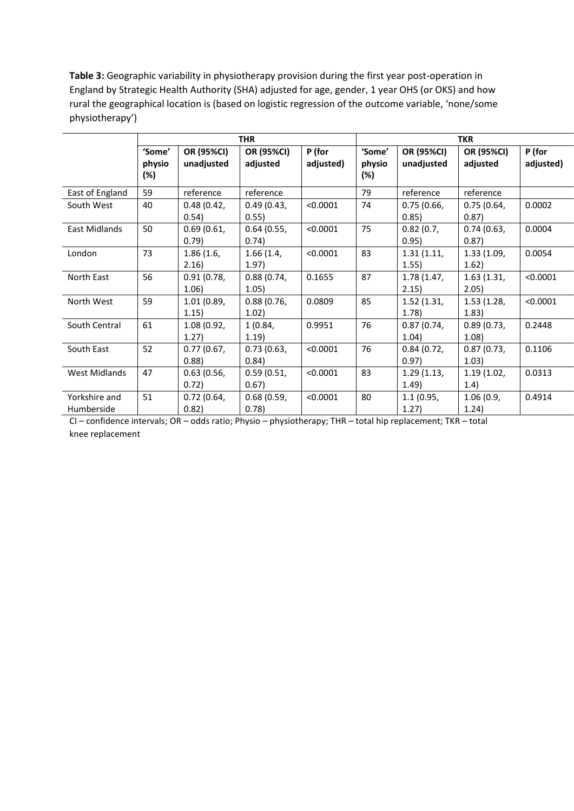**Table 3:** Geographic variability in physiotherapy provision during the first year post-operation in England by Strategic Health Authority (SHA) adjusted for age, gender, 1 year OHS (or OKS) and how rural the geographical location is (based on logistic regression of the outcome variable, 'none/some physiotherapy')

|                      | <b>THR</b>       |                          |                        | <b>TKR</b>          |                  |                          |                        |                     |
|----------------------|------------------|--------------------------|------------------------|---------------------|------------------|--------------------------|------------------------|---------------------|
|                      | 'Some'<br>physio | OR (95%CI)<br>unadjusted | OR (95%CI)<br>adjusted | P (for<br>adjusted) | 'Some'<br>physio | OR (95%CI)<br>unadjusted | OR (95%CI)<br>adjusted | P (for<br>adjusted) |
|                      | (%)              |                          |                        |                     | (%)              |                          |                        |                     |
| East of England      | 59               | reference                | reference              |                     | 79               | reference                | reference              |                     |
| South West           | 40               | 0.48(0.42,               | 0.49(0.43,             | < 0.0001            | 74               | 0.75(0.66,               | 0.75(0.64,             | 0.0002              |
|                      |                  | 0.54)                    | 0.55)                  |                     |                  | 0.85)                    | 0.87)                  |                     |
| East Midlands        | 50               | 0.69(0.61,               | 0.64(0.55,             | < 0.0001            | 75               | 0.82(0.7)                | 0.74(0.63,             | 0.0004              |
|                      |                  | 0.79)                    | 0.74)                  |                     |                  | 0.95)                    | 0.87)                  |                     |
| London               | 73               | 1.86(1.6,                | 1.66(1.4)              | < 0.0001            | 83               | 1.31(1.11,               | 1.33(1.09,             | 0.0054              |
|                      |                  | 2.16)                    | 1.97)                  |                     |                  | 1.55)                    | 1.62)                  |                     |
| North East           | 56               | 0.91(0.78,               | 0.88(0.74,             | 0.1655              | 87               | 1.78(1.47)               | 1.63(1.31)             | < 0.0001            |
|                      |                  | 1.06)                    | 1.05)                  |                     |                  | 2.15)                    | 2.05)                  |                     |
| North West           | 59               | 1.01(0.89,               | 0.88(0.76,             | 0.0809              | 85               | 1.52(1.31)               | 1.53(1.28,             | < 0.0001            |
|                      |                  | 1.15)                    | 1.02)                  |                     |                  | 1.78)                    | (1.83)                 |                     |
| South Central        | 61               | 1.08(0.92,               | 1(0.84,                | 0.9951              | 76               | 0.87(0.74,               | 0.89(0.73,             | 0.2448              |
|                      |                  | 1.27)                    | 1.19)                  |                     |                  | 1.04)                    | 1.08)                  |                     |
| South East           | 52               | 0.77(0.67)               | 0.73(0.63,             | < 0.0001            | 76               | 0.84(0.72,               | 0.87(0.73,             | 0.1106              |
|                      |                  | 0.88)                    | 0.84)                  |                     |                  | 0.97)                    | 1.03)                  |                     |
| <b>West Midlands</b> | 47               | 0.63(0.56,               | 0.59(0.51,             | < 0.0001            | 83               | 1.29(1.13,               | 1.19(1.02)             | 0.0313              |
|                      |                  | 0.72)                    | 0.67)                  |                     |                  | 1.49)                    | 1.4)                   |                     |
| Yorkshire and        | 51               | 0.72(0.64,               | 0.68(0.59,             | < 0.0001            | 80               | 1.1(0.95,                | 1.06(0.9,              | 0.4914              |
| Humberside           |                  | 0.82)                    | 0.78)                  |                     |                  | 1.27)                    | 1.24)                  |                     |

CI – confidence intervals; OR – odds ratio; Physio – physiotherapy; THR – total hip replacement; TKR – total knee replacement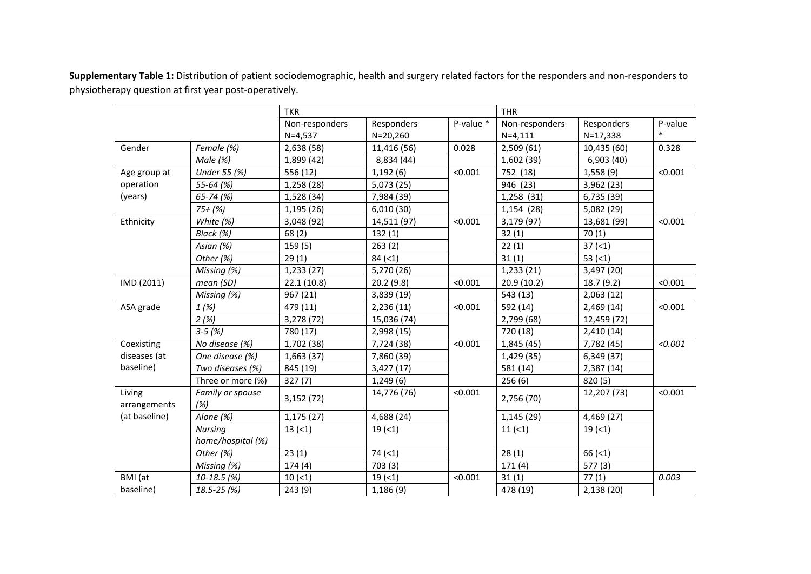**Supplementary Table 1:** Distribution of patient sociodemographic, health and surgery related factors for the responders and non-responders to physiotherapy question at first year post-operatively.

|                        |                         | <b>TKR</b>     |              |           | <b>THR</b>     |             |         |  |
|------------------------|-------------------------|----------------|--------------|-----------|----------------|-------------|---------|--|
|                        |                         | Non-responders | Responders   | P-value * | Non-responders | Responders  | P-value |  |
|                        |                         | $N=4,537$      | $N = 20,260$ |           | $N=4,111$      | $N=17,338$  | $\ast$  |  |
| Gender                 | Female (%)              | 2,638 (58)     | 11,416 (56)  | 0.028     | 2,509(61)      | 10,435 (60) | 0.328   |  |
|                        | Male $(%)$              | 1,899 (42)     | 8,834 (44)   |           | 1,602(39)      | 6,903(40)   |         |  |
| Age group at           | Under 55 (%)            | 556 (12)       | 1,192(6)     | < 0.001   | 752 (18)       | 1,558(9)    | < 0.001 |  |
| operation              | 55-64 (%)               | 1,258 (28)     | 5,073 (25)   |           | 946 (23)       | 3,962(23)   |         |  |
| (years)                | $65 - 74$ (%)           | 1,528 (34)     | 7,984 (39)   |           | 1,258 (31)     | 6,735 (39)  |         |  |
|                        | $75+ (%)$               | 1,195 (26)     | 6,010(30)    |           | 1,154 (28)     | 5,082 (29)  |         |  |
| Ethnicity              | White $(%)$             | 3,048 (92)     | 14,511 (97)  | < 0.001   | 3,179 (97)     | 13,681 (99) | < 0.001 |  |
|                        | Black (%)               | 68(2)          | 132(1)       |           | 32(1)          | 70(1)       |         |  |
|                        | Asian (%)               | 159 (5)        | 263(2)       |           | 22(1)          | 37(1)       |         |  |
|                        | Other (%)               | 29(1)          | 84(1)        |           | 31(1)          | 53(1)       |         |  |
|                        | Missing (%)             | 1,233(27)      | 5,270 (26)   |           | 1,233(21)      | 3,497 (20)  |         |  |
| IMD (2011)             | mean (SD)               | 22.1(10.8)     | 20.2(9.8)    | < 0.001   | 20.9 (10.2)    | 18.7(9.2)   | < 0.001 |  |
|                        | Missing (%)             | 967 (21)       | 3,839 (19)   |           | 543 (13)       | 2,063(12)   |         |  |
| ASA grade              | 1(%)                    | 479 (11)       | 2,236(11)    | < 0.001   | 592 (14)       | 2,469(14)   | < 0.001 |  |
|                        | 2(%)                    | 3,278 (72)     | 15,036 (74)  |           | 2,799 (68)     | 12,459 (72) |         |  |
|                        | $3-5(%)$                | 780 (17)       | 2,998(15)    |           | 720 (18)       | 2,410(14)   |         |  |
| Coexisting             | No disease (%)          | 1,702 (38)     | 7,724 (38)   | < 0.001   | 1,845 (45)     | 7,782 (45)  | < 0.001 |  |
| diseases (at           | One disease (%)         | 1,663 (37)     | 7,860 (39)   |           | 1,429 (35)     | 6,349 (37)  |         |  |
| baseline)              | Two diseases (%)        | 845 (19)       | 3,427(17)    |           | 581 (14)       | 2,387(14)   |         |  |
|                        | Three or more (%)       | 327(7)         | 1,249(6)     |           | 256(6)         | 820 (5)     |         |  |
| Living<br>arrangements | Family or spouse<br>(%) | 3,152 (72)     | 14,776 (76)  | < 0.001   | 2,756 (70)     | 12,207 (73) | < 0.001 |  |
| (at baseline)          | Alone (%)               | 1,175(27)      | 4,688 (24)   |           | 1,145 (29)     | 4,469 (27)  |         |  |
|                        | Nursing                 | 13(1)          | 19(1)        |           | 11(1)          | 19(1)       |         |  |
|                        | home/hospital (%)       |                |              |           |                |             |         |  |
|                        | Other (%)               | 23(1)          | 74(1)        |           | 28(1)          | 66(1)       |         |  |
|                        | Missing (%)             | 174(4)         | 703(3)       |           | 171(4)         | 577(3)      |         |  |
| BMI (at                | $10-18.5$ (%)           | 10(1)          | 19(1)        | < 0.001   | 31(1)          | 77(1)       | 0.003   |  |
| baseline)              | $18.5 - 25(%)$          | 243(9)         | 1,186(9)     |           | 478 (19)       | 2,138 (20)  |         |  |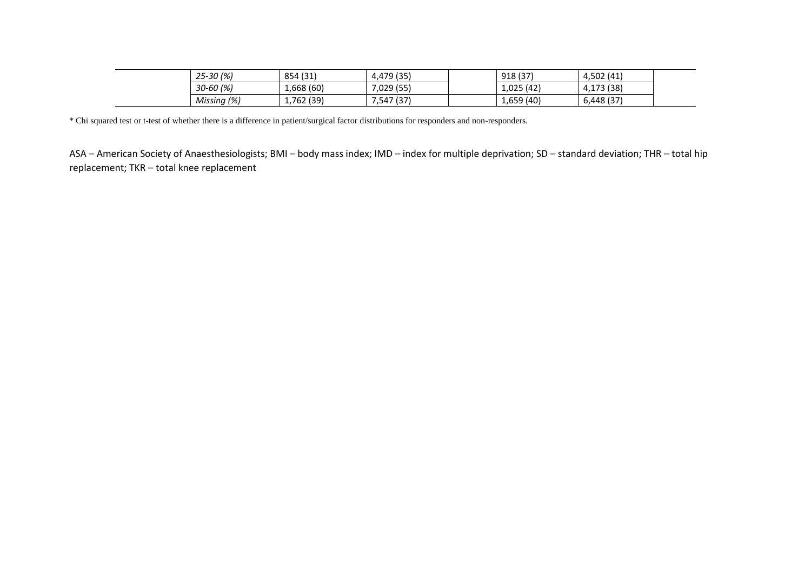| $25 - 30(%)$  | 854 (31)   | 4,479 (35) | 918 (37)  | 4,502 (41) |  |
|---------------|------------|------------|-----------|------------|--|
| $30 - 60$ (%) | 1,668 (60) | 7,029 (55) | 1,025(42) | 4,173 (38) |  |
| Missing (%)   | 1.762 (39) | 7,547 (37) | 1,659(40) | 6,448(37)  |  |

\* Chi squared test or t-test of whether there is a difference in patient/surgical factor distributions for responders and non-responders.

ASA – American Society of Anaesthesiologists; BMI – body mass index; IMD – index for multiple deprivation; SD – standard deviation; THR – total hip replacement; TKR – total knee replacement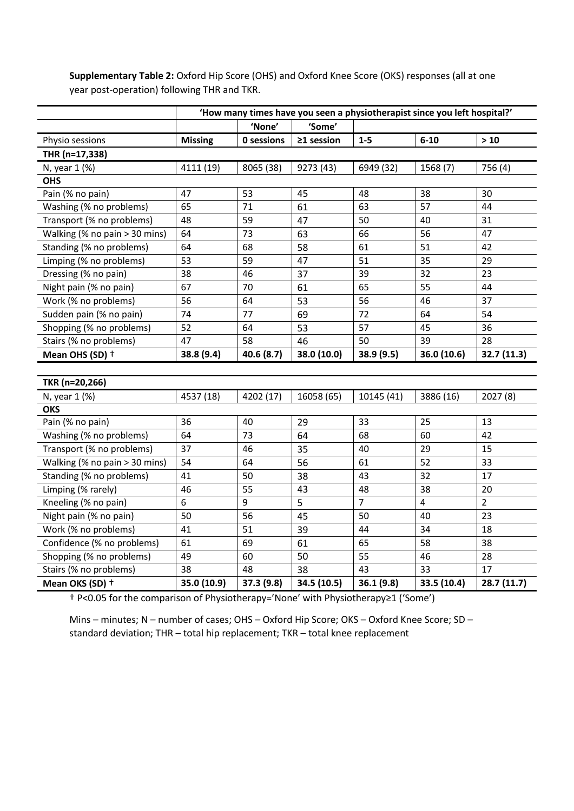**Supplementary Table 2:** Oxford Hip Score (OHS) and Oxford Knee Score (OKS) responses (all at one year post-operation) following THR and TKR.

|                               | 'How many times have you seen a physiotherapist since you left hospital?' |            |                  |                |                |                |  |
|-------------------------------|---------------------------------------------------------------------------|------------|------------------|----------------|----------------|----------------|--|
|                               |                                                                           | 'None'     | 'Some'           |                |                |                |  |
| Physio sessions               | <b>Missing</b>                                                            | 0 sessions | $\geq$ 1 session | $1-5$          | $6 - 10$       | $>10$          |  |
| THR (n=17,338)                |                                                                           |            |                  |                |                |                |  |
| N, year 1 (%)                 | 4111 (19)                                                                 | 8065 (38)  | 9273 (43)        | 6949 (32)      | 1568 (7)       | 756 (4)        |  |
| <b>OHS</b>                    |                                                                           |            |                  |                |                |                |  |
| Pain (% no pain)              | 47                                                                        | 53         | 45               | 48             | 38             | 30             |  |
| Washing (% no problems)       | 65                                                                        | 71         | 61               | 63             | 57             | 44             |  |
| Transport (% no problems)     | 48                                                                        | 59         | 47               | 50             | 40             | 31             |  |
| Walking (% no pain > 30 mins) | 64                                                                        | 73         | 63               | 66             | 56             | 47             |  |
| Standing (% no problems)      | 64                                                                        | 68         | 58               | 61             | 51             | 42             |  |
| Limping (% no problems)       | 53                                                                        | 59         | 47               | 51             | 35             | 29             |  |
| Dressing (% no pain)          | 38                                                                        | 46         | 37               | 39             | 32             | 23             |  |
| Night pain (% no pain)        | 67                                                                        | 70         | 61               | 65             | 55             | 44             |  |
| Work (% no problems)          | 56                                                                        | 64         | 53               | 56             | 46             | 37             |  |
| Sudden pain (% no pain)       | 74                                                                        | 77         | 69               | 72             | 64             | 54             |  |
| Shopping (% no problems)      | 52                                                                        | 64         | 53               | 57             | 45             | 36             |  |
| Stairs (% no problems)        | 47                                                                        | 58         | 46               | 50             | 39             | 28             |  |
| Mean OHS (SD) +               | 38.8 (9.4)                                                                | 40.6 (8.7) | 38.0 (10.0)      | 38.9 (9.5)     | 36.0 (10.6)    | 32.7 (11.3)    |  |
|                               |                                                                           |            |                  |                |                |                |  |
| TKR (n=20,266)                |                                                                           |            |                  |                |                |                |  |
| N, year 1 (%)                 | 4537 (18)                                                                 | 4202 (17)  | 16058 (65)       | 10145 (41)     | 3886 (16)      | 2027 (8)       |  |
| <b>OKS</b>                    |                                                                           |            |                  |                |                |                |  |
| Pain (% no pain)              | 36                                                                        | 40         | 29               | 33             | 25             | 13             |  |
| Washing (% no problems)       | 64                                                                        | 73         | 64               | 68             | 60             | 42             |  |
| Transport (% no problems)     | 37                                                                        | 46         | 35               | 40             | 29             | 15             |  |
| Walking (% no pain > 30 mins) | 54                                                                        | 64         | 56               | 61             | 52             | 33             |  |
| Standing (% no problems)      | 41                                                                        | 50         | 38               | 43             | 32             | 17             |  |
| Limping (% rarely)            | 46                                                                        | 55         | 43               | 48             | 38             | 20             |  |
| Kneeling (% no pain)          | 6                                                                         | 9          | 5                | $\overline{7}$ | $\overline{4}$ | $\overline{2}$ |  |
| Night pain (% no pain)        | 50                                                                        | 56         | 45               | 50             | 40             | 23             |  |
| Work (% no problems)          | 41                                                                        | 51         | 39               | 44             | 34             | 18             |  |
| Confidence (% no problems)    | 61                                                                        | 69         | 61               | 65             | 58             | 38             |  |
| Shopping (% no problems)      | 49                                                                        | 60         | 50               | 55             | 46             | 28             |  |
| Stairs (% no problems)        | 38                                                                        | 48         | 38               | 43             | 33             | 17             |  |
| Mean OKS (SD) +               | 35.0 (10.9)                                                               | 37.3 (9.8) | 34.5 (10.5)      | 36.1(9.8)      | 33.5 (10.4)    | 28.7(11.7)     |  |

† P<0.05 for the comparison of Physiotherapy='None' with Physiotherapy≥1 ('Some')

Mins – minutes; N – number of cases; OHS – Oxford Hip Score; OKS – Oxford Knee Score; SD – standard deviation; THR – total hip replacement; TKR – total knee replacement